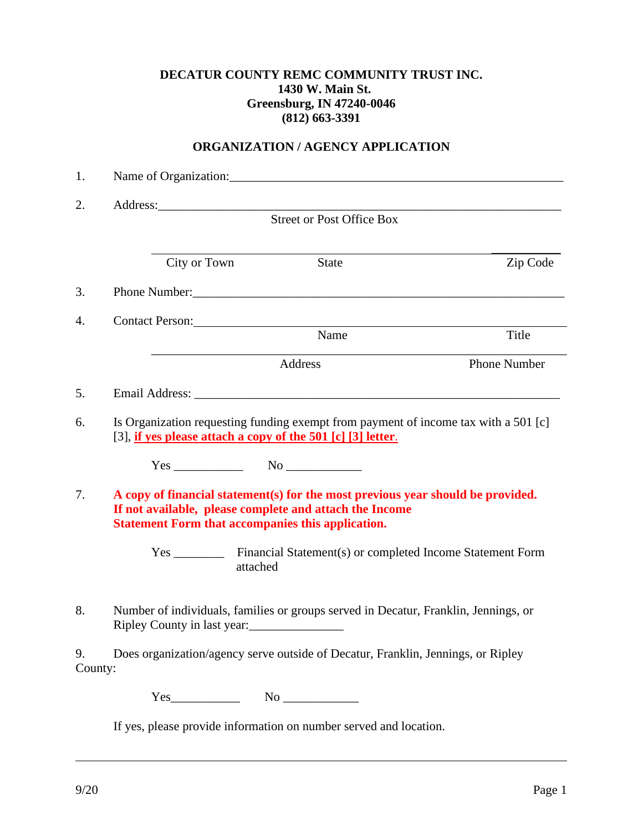### **DECATUR COUNTY REMC COMMUNITY TRUST INC. 1430 W. Main St. Greensburg, IN 47240-0046 (812) 663-3391**

## **ORGANIZATION / AGENCY APPLICATION**

| 1.            |                                                                                                                                                                                                        |              |                                                                             |  |  |
|---------------|--------------------------------------------------------------------------------------------------------------------------------------------------------------------------------------------------------|--------------|-----------------------------------------------------------------------------|--|--|
| 2.            | <b>Street or Post Office Box</b>                                                                                                                                                                       |              |                                                                             |  |  |
|               |                                                                                                                                                                                                        |              |                                                                             |  |  |
|               | City or Town                                                                                                                                                                                           | <b>State</b> | Zip Code                                                                    |  |  |
| 3.            |                                                                                                                                                                                                        |              |                                                                             |  |  |
| 4.            | Contact Person:                                                                                                                                                                                        | Name         | Title                                                                       |  |  |
|               |                                                                                                                                                                                                        | Address      | <b>Phone Number</b>                                                         |  |  |
| 5.            |                                                                                                                                                                                                        |              |                                                                             |  |  |
| 6.            | Is Organization requesting funding exempt from payment of income tax with a 501 [c]<br>[3], if yes please attach a copy of the 501 [c] [3] letter.                                                     |              |                                                                             |  |  |
|               | $Yes$ No $\qquad \qquad No$                                                                                                                                                                            |              |                                                                             |  |  |
| 7.            | A copy of financial statement(s) for the most previous year should be provided.<br>If not available, please complete and attach the Income<br><b>Statement Form that accompanies this application.</b> |              |                                                                             |  |  |
|               | attached                                                                                                                                                                                               |              | Yes _____________ Financial Statement(s) or completed Income Statement Form |  |  |
| 8.            | Number of individuals, families or groups served in Decatur, Franklin, Jennings, or<br>Ripley County in last year:                                                                                     |              |                                                                             |  |  |
| 9.<br>County: | Does organization/agency serve outside of Decatur, Franklin, Jennings, or Ripley                                                                                                                       |              |                                                                             |  |  |
|               |                                                                                                                                                                                                        |              |                                                                             |  |  |
|               | If yes, please provide information on number served and location.                                                                                                                                      |              |                                                                             |  |  |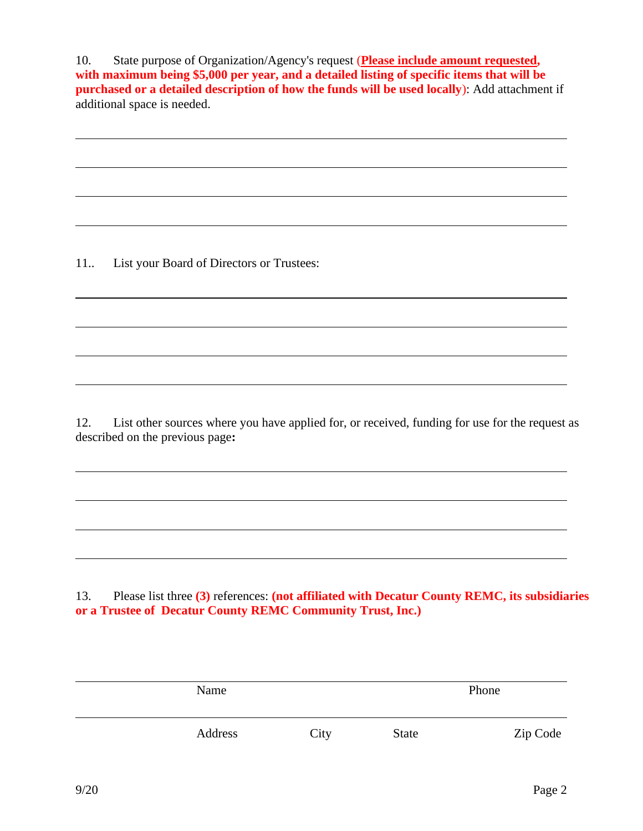10. State purpose of Organization/Agency's request (**Please include amount requested, with maximum being \$5,000 per year, and a detailed listing of specific items that will be purchased or a detailed description of how the funds will be used locally**): Add attachment if additional space is needed.

11.. List your Board of Directors or Trustees:

12. List other sources where you have applied for, or received, funding for use for the request as described on the previous page**:**

13. Please list three **(3)** references: **(not affiliated with Decatur County REMC, its subsidiaries or a Trustee of Decatur County REMC Community Trust, Inc.)**

| Name    |      |              | Phone    |
|---------|------|--------------|----------|
| Address | City | <b>State</b> | Zip Code |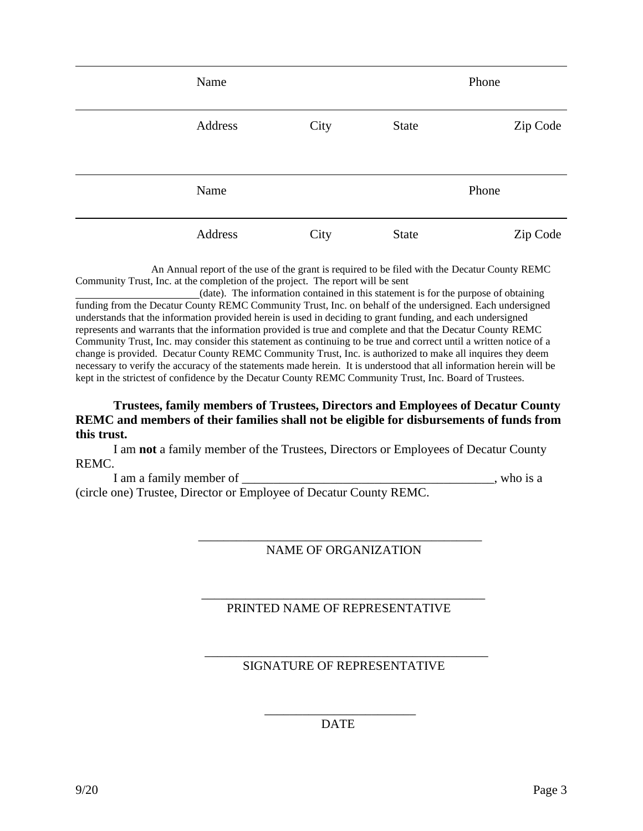| Name    |      |              | Phone    |  |
|---------|------|--------------|----------|--|
| Address | City | State        | Zip Code |  |
| Name    |      |              | Phone    |  |
| Address | City | <b>State</b> | Zip Code |  |

An Annual report of the use of the grant is required to be filed with the Decatur County REMC Community Trust, Inc. at the completion of the project. The report will be sent

 (date). The information contained in this statement is for the purpose of obtaining funding from the Decatur County REMC Community Trust, Inc. on behalf of the undersigned. Each undersigned understands that the information provided herein is used in deciding to grant funding, and each undersigned represents and warrants that the information provided is true and complete and that the Decatur County REMC Community Trust, Inc. may consider this statement as continuing to be true and correct until a written notice of a change is provided. Decatur County REMC Community Trust, Inc. is authorized to make all inquires they deem necessary to verify the accuracy of the statements made herein. It is understood that all information herein will be kept in the strictest of confidence by the Decatur County REMC Community Trust, Inc. Board of Trustees.

**Trustees, family members of Trustees, Directors and Employees of Decatur County REMC and members of their families shall not be eligible for disbursements of funds from this trust.**

I am **not** a family member of the Trustees, Directors or Employees of Decatur County REMC.

I am a family member of \_\_\_\_\_\_\_\_\_\_\_\_\_\_\_\_\_\_\_\_\_\_\_\_\_\_\_\_\_\_\_\_\_\_\_\_\_\_\_\_, who is a (circle one) Trustee, Director or Employee of Decatur County REMC.

 $\overline{\phantom{a}}$  ,  $\overline{\phantom{a}}$  ,  $\overline{\phantom{a}}$  ,  $\overline{\phantom{a}}$  ,  $\overline{\phantom{a}}$  ,  $\overline{\phantom{a}}$  ,  $\overline{\phantom{a}}$  ,  $\overline{\phantom{a}}$  ,  $\overline{\phantom{a}}$  ,  $\overline{\phantom{a}}$  ,  $\overline{\phantom{a}}$  ,  $\overline{\phantom{a}}$  ,  $\overline{\phantom{a}}$  ,  $\overline{\phantom{a}}$  ,  $\overline{\phantom{a}}$  ,  $\overline{\phantom{a}}$ 

 $\overline{\phantom{a}}$  ,  $\overline{\phantom{a}}$  ,  $\overline{\phantom{a}}$  ,  $\overline{\phantom{a}}$  ,  $\overline{\phantom{a}}$  ,  $\overline{\phantom{a}}$  ,  $\overline{\phantom{a}}$  ,  $\overline{\phantom{a}}$  ,  $\overline{\phantom{a}}$  ,  $\overline{\phantom{a}}$  ,  $\overline{\phantom{a}}$  ,  $\overline{\phantom{a}}$  ,  $\overline{\phantom{a}}$  ,  $\overline{\phantom{a}}$  ,  $\overline{\phantom{a}}$  ,  $\overline{\phantom{a}}$ 

NAME OF ORGANIZATION

 $\overline{\phantom{a}}$  , which is a set of the set of the set of the set of the set of the set of the set of the set of the set of the set of the set of the set of the set of the set of the set of the set of the set of the set of th

### PRINTED NAME OF REPRESENTATIVE

### SIGNATURE OF REPRESENTATIVE

\_\_\_\_\_\_\_\_\_\_\_\_\_\_\_\_\_\_\_\_\_\_\_\_ **DATE**